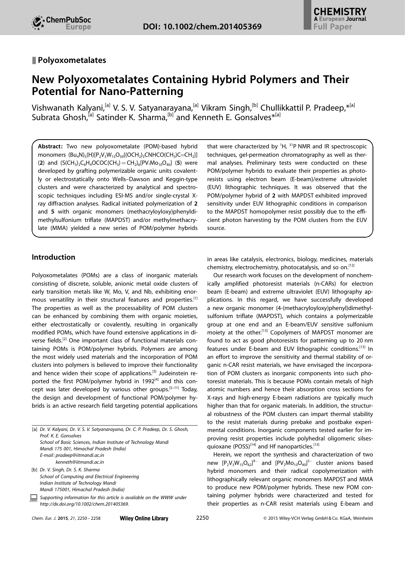# & Polyoxometalates

# New Polyoxometalates Containing Hybrid Polymers and Their Potential for Nano-Patterning

Vishwanath Kalyani,<sup>[a]</sup> V. S. V. Satyanarayana,<sup>[a]</sup> Vikram Singh,<sup>[b]</sup> Chullikkattil P. Pradeep,\*<sup>[a]</sup> Subrata Ghosh,<sup>[a]</sup> Satinder K. Sharma,<sup>[b]</sup> and Kenneth E. Gonsalves<sup>\*[a]</sup>

Abstract: Two new polyoxometalate (POM)-based hybrid monomers  $(Bu_4N)_5(H)[P_2V_3W_{15}O_{59}[(OCH_2)_3CNHCO(CH_3)C=CH_2]]$ (2) and  $(S(CH_3)_2C_6H_4OCOC(CH_3)=CH_2)_6[PV_2Mo_{10}O_{40}]$  (5) were developed by grafting polymerizable organic units covalently or electrostatically onto Wells–Dawson and Keggin-type clusters and were characterized by analytical and spectroscopic techniques including ESI-MS and/or single-crystal Xray diffraction analyses. Radical initiated polymerization of 2 and 5 with organic monomers (methacryloyloxy)phenyldimethylsulfonium triflate (MAPDST) and/or methylmethacrylate (MMA) yielded a new series of POM/polymer hybrids

# Introduction

Polyoxometalates (POMs) are a class of inorganic materials consisting of discrete, soluble, anionic metal oxide clusters of early transition metals like W, Mo, V, and Nb, exhibiting enormous versatility in their structural features and properties.[1] The properties as well as the processability of POM clusters can be enhanced by combining them with organic moieties, either electrostatically or covalently, resulting in organically modified POMs, which have found extensive applications in diverse fields.[2] One important class of functional materials containing POMs is POM/polymer hybrids. Polymers are among the most widely used materials and the incorporation of POM clusters into polymers is believed to improve their functionality and hence widen their scope of applications.<sup>[3]</sup> Judeinstein reported the first POM/polymer hybrid in  $1992^{[4]}$  and this concept was later developed by various other groups.<sup>[5-11]</sup> Today, the design and development of functional POM/polymer hybrids is an active research field targeting potential applications

| [a] Dr. V. Kalyani, Dr. V. S. V. Satyanarayana, Dr. C. P. Pradeep, Dr. S. Ghosh,<br>Prof. K. F. Gonsalves          |
|--------------------------------------------------------------------------------------------------------------------|
| School of Basic Sciences, Indian Institute of Technology Mandi                                                     |
| Mandi 175 001, Himachal Pradesh (India)                                                                            |
| E-mail: pradeep@iitmandi.ac.in                                                                                     |
| kenneth@iitmandi.ac.in                                                                                             |
| [b] Dr. V. Singh, Dr. S. K. Sharma                                                                                 |
| School of Computing and Electrical Engineering                                                                     |
| Indian Institute of Technology Mandi                                                                               |
| Mandi 175001, Himachal Pradesh (India)                                                                             |
| Supporting information for this article is available on the WWW under<br>http://dx.doi.org/10.1002/chem.201405369. |
|                                                                                                                    |

Chem. Eur. J. 2015, 21, 2250 – 2258 Wiley Online Library 2250

that were characterized by  ${}^{1}H$ ,  ${}^{31}P$  NMR and IR spectroscopic techniques, gel-permeation chromatography as well as thermal analyses. Preliminary tests were conducted on these POM/polymer hybrids to evaluate their properties as photoresists using electron beam (E-beam)/extreme ultraviolet (EUV) lithographic techniques. It was observed that the POM/polymer hybrid of 2 with MAPDST exhibited improved sensitivity under EUV lithographic conditions in comparison to the MAPDST homopolymer resist possibly due to the efficient photon harvesting by the POM clusters from the EUV source.

in areas like catalysis, electronics, biology, medicines, materials chemistry, electrochemistry, photocatalysis, and so on.<sup>[12]</sup>

Our research work focuses on the development of nonchemically amplified photoresist materials (n-CARs) for electron beam (E-beam) and extreme ultraviolet (EUV) lithography applications. In this regard, we have successfully developed a new organic monomer (4-(methacryloyloxy)phenyl)dimethylsulfonium triflate (MAPDST), which contains a polymerizable group at one end and an E-beam/EUV sensitive sulfonium moiety at the other.<sup>[13]</sup> Copolymers of MAPDST monomer are found to act as good photoresists for patterning up to 20 nm features under E-beam and EUV lithographic conditions.[13] In an effort to improve the sensitivity and thermal stability of organic n-CAR resist materials, we have envisaged the incorporation of POM clusters as inorganic components into such photoresist materials. This is because POMs contain metals of high atomic numbers and hence their absorption cross sections for X-rays and high-energy E-beam radiations are typically much higher than that for organic materials. In addition, the structural robustness of the POM clusters can impart thermal stability to the resist materials during prebake and postbake experimental conditions. Inorganic components tested earlier for improving resist properties include polyhedral oligomeric silsesquioxane (POSS)<sup>[14]</sup> and Hf nanoparticles.<sup>[15]</sup>

Herein, we report the synthesis and characterization of two new  $[P_2V_3W_{15}O_{62}]^{9-}$  and  $[PV_2Mo_{10}O_{40}]^{5-}$  cluster anions based hybrid monomers and their radical copolymerization with lithographically relevant organic monomers MAPDST and MMA to produce new POM/polymer hybrids. These new POM containing polymer hybrids were characterized and tested for their properties as n-CAR resist materials using E-beam and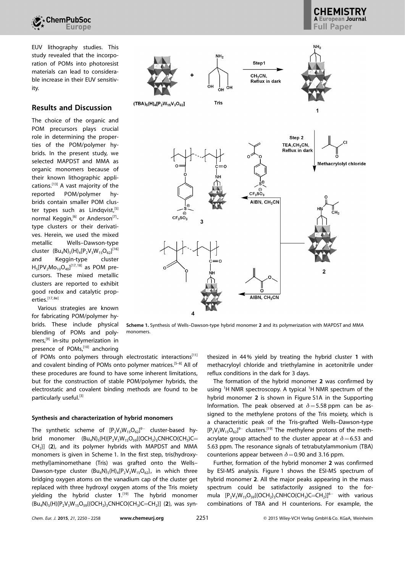

EUV lithography studies. This study revealed that the incorporation of POMs into photoresist materials can lead to considerable increase in their EUV sensitivity.

# Results and Discussion

The choice of the organic and POM precursors plays crucial role in determining the properties of the POM/polymer hybrids. In the present study, we selected MAPDST and MMA as organic monomers because of their known lithographic applications.[13] A vast majority of the reported POM/polymer hybrids contain smaller POM cluster types such as Lindqvist,<sup>[5]</sup> normal Keggin,<sup>[6]</sup> or Anderson<sup>[7]</sup>type clusters or their derivatives. Herein, we used the mixed metallic Wells–Dawson-type cluster  $(Bu_4N)_5(H)_4[P_2V_3W_{15}O_{62}]^{[16]}$ and Keggin-type cluster  $H_5[PV_2Mo_{10}O_{40}]^{[17,18]}$  as POM precursors. These mixed metallic clusters are reported to exhibit good redox and catalytic properties.<sup>[17, 8e]</sup>

Various strategies are known for fabricating POM/polymer hybrids. These include physical blending of POMs and polymers,<sup>[9]</sup> in-situ polymerization in presence of POMs,<sup>[10]</sup> anchoring



**A European Journal** 

Scheme 1. Synthesis of Wells–Dawson-type hybrid monomer 2 and its polymerization with MAPDST and MMA monomers.

of POMs onto polymers through electrostatic interactions<sup>[11]</sup> and covalent binding of POMs onto polymer matrices.<sup>[5-8]</sup> All of these procedures are found to have some inherent limitations, but for the construction of stable POM/polymer hybrids, the electrostatic and covalent binding methods are found to be particularly useful.<sup>[3]</sup>

#### Synthesis and characterization of hybrid monomers

The synthetic scheme of  $[P_2V_3W_{15}O_{62}]^{9-}$  cluster-based hybrid monomer  $(Bu_4N)_{5}(H)[P_2V_3W_{15}O_{59}[(OCH_2)_3CNHCO(CH_3)C=$  $CH<sub>2</sub>$ ] (2), and its polymer hybrids with MAPDST and MMA monomers is given in Scheme 1. In the first step, tris(hydroxymethyl)aminomethane (Tris) was grafted onto the Wells– Dawson-type cluster  $(Bu_4N)_5(H)_4[P_2V_3W_{15}O_{62}]$ , in which three bridging oxygen atoms on the vanadium cap of the cluster get replaced with three hydroxyl oxygen atoms of the Tris moiety yielding the hybrid cluster 1. [19] The hybrid monomer  $(Bu_4N)_5(H)[P_2V_3W_{15}O_{59}[(OCH_2)_3CNHCO(CH_3)C=CH_2]]$  (2), was synthesized in 44% yield by treating the hybrid cluster 1 with methacryloyl chloride and triethylamine in acetonitrile under reflux conditions in the dark for 3 days.

The formation of the hybrid monomer 2 was confirmed by using <sup>1</sup>H NMR spectroscopy. A typical <sup>1</sup>H NMR spectrum of the hybrid monomer 2 is shown in Figure S1A in the Supporting Information. The peak observed at  $\delta$  = 5.58 ppm can be assigned to the methylene protons of the Tris moiety, which is a characteristic peak of the Tris-grafted Wells–Dawson-type  $[P_2V_3W_{15}O_{62}]^{9-}$  clusters.<sup>[19]</sup> The methylene protons of the methacrylate group attached to the cluster appear at  $\delta$  = 6.53 and 5.63 ppm. The resonance signals of tetrabutylammonium (TBA) counterions appear between  $\delta$  = 0.90 and 3.16 ppm.

Further, formation of the hybrid monomer 2 was confirmed by ESI-MS analysis. Figure 1 shows the ESI-MS spectrum of hybrid monomer 2. All the major peaks appearing in the mass spectrum could be satisfactorily assigned to the formula  $[P_2V_3W_{15}O_{59}({\rm OCH}_2)_3{\rm CNHCO}({\rm CH}_3){\rm C}={\rm CH}_2]^6$  with various combinations of TBA and H counterions. For example, the

Chem. Eur. J. 2015, 21, 2250 – 2258 [www.chemeurj.org](http://www.chemeurj.org) 2251 -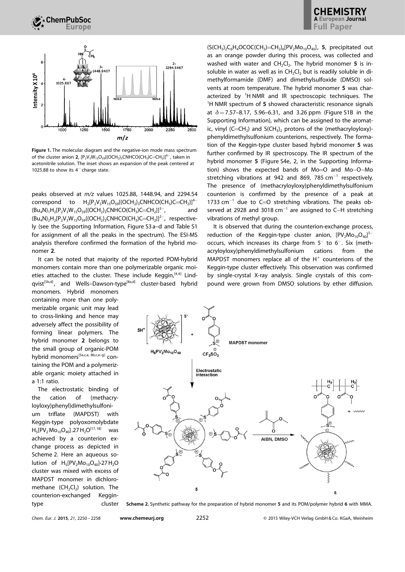

Figure 1. The molecular diagram and the negative-ion mode mass spectrum of the cluster anion 2,  $[P_2V_3W_{15}O_{59}({\rm (OCH}_2)_3{\rm CNHCO}({\rm CH}_3){\rm C=CH}_2\}^6$ , taken in acetonitrile solution. The inset shows an expansion of the peak centered at 1025.88 to show its  $4^-$  charge state.

peaks observed at m/z values 1025.88, 1448.94, and 2294.54 correspond to  $H_2[P_2V_3W_{15}O_{59}({\rm OCH}_2)_3{\rm CNHCO}({\rm CH}_3){\rm C=CH}_2]^{4-}$  $(Bu_4N)_1H_2[P_2V_3W_{15}O_{59}((OCH_2)_3CNHCO(CH_3)C=CH_2]^{3-}$ , , and  $(Bu_4N)_2H_2[P_2V_3W_{15}O_{59}({OCH_2})_3CNHCO(CH_3)C=CH_2}]^{2-}$ , respectively (see the Supporting Information, Figure S3 a–d and Table S1 for assignment of all the peaks in the spectrum). The ESI-MS analysis therefore confirmed the formation of the hybrid monomer 2.

It can be noted that majority of the reported POM-hybrid monomers contain more than one polymerizable organic moieties attached to the cluster. These include Keggin, $[4,6]$  Lindqvist<sup>[5b,d]</sup>, and Wells-Dawson-type<sup>[8a,d]</sup> cluster-based hybrid

monomers. Hybrid monomers containing more than one polymerizable organic unit may lead to cross-linking and hence may adversely affect the possibility of forming linear polymers. The hybrid monomer 2 belongs to the small group of organic-POM hybrid monomers<sup>[5a,c,e, 8b,c,e-g]</sup> containing the POM and a polymerizable organic moiety attached in a 1:1 ratio.

The electrostatic binding of the cation of (methacryloyloxy)phenyl)dimethylsulfonium triflate (MAPDST) with Keggin-type polyoxomolybdate  $H_5[PV_2Mo_{10}O_{40}]$ .27  $H_2O^{[17, 18]}$  was achieved by a counterion exchange process as depicted in Scheme 2. Here an aqueous solution of  $H_5[PV_2Mo_{10}O_{40}]$ -27 $H_2O$ cluster was mixed with excess of MAPDST monomer in dichloromethane  $(CH_2Cl_2)$  solution. The counterion-exchanged Keggintype cluster  $(S(CH_3)_2C_6H_4OCOC(CH_3)=CH_2)_6[PV_2Mo_{10}O_{40}]$ , 5, precipitated out as an orange powder during this process, was collected and washed with water and  $CH_2Cl_2$ . The hybrid monomer 5 is insoluble in water as well as in  $CH<sub>2</sub>Cl<sub>2</sub>$  but is readily soluble in dimethylformamide (DMF) and dimethylsulfoxide (DMSO) solvents at room temperature. The hybrid monomer 5 was characterized by <sup>1</sup>H NMR and IR spectroscopic techniques. The <sup>1</sup>H NMR spectrum of 5 showed characteristic resonance signals at  $\delta$  = 7.57–8.17, 5.96–6.31, and 3.26 ppm (Figure S1B in the Supporting Information), which can be assigned to the aromatic, vinyl  $(C=CH_2)$  and  $S(CH_3)_2$  protons of the (methacryloyloxy)phenyldimethylsulfonium counterions, respectively. The formation of the Keggin-type cluster based hybrid monomer 5 was further confirmed by IR spectroscopy. The IR spectrum of the hybrid monomer 5 (Figure S4e, 2, in the Supporting Information) shows the expected bands of Mo=O and Mo-O-Mo stretching vibrations at 942 and 869, 785  $cm^{-1}$  respectively. The presence of (methacryloyloxy)phenyldimethylsulfonium counterion is confirmed by the presence of a peak at 1733  $cm^{-1}$  due to C=O stretching vibrations. The peaks observed at 2928 and 3018  $cm^{-1}$  are assigned to C-H stretching vibrations of methyl group.

It is observed that during the counterion-exchange process, reduction of the Keggin-type cluster anion,  $[PV<sub>2</sub>Mo<sub>10</sub>O<sub>40</sub>]<sup>5–1</sup>$ occurs, which increases its charge from  $5^-$  to  $6^-$ . Six (methacryloyloxy)phenyldimethylsulfonium cations from the MAPDST monomers replace all of the  $H^+$  counterions of the Keggin-type cluster effectively. This observation was confirmed by single-crystal X-ray analysis. Single crystals of this compound were grown from DMSO solutions by ether diffusion.



Scheme 2. Synthetic pathway for the preparation of hybrid monomer 5 and its POM/polymer hybrid 6 with MMA.

Chem. Eur. J. 2015, 21, 2250 – 2258 [www.chemeurj.org](http://www.chemeurj.org) 2252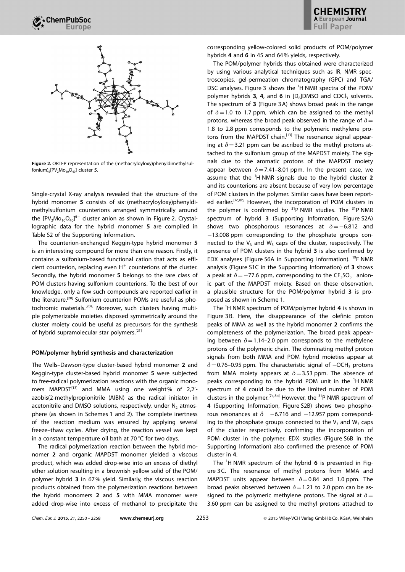

Figure 2. ORTEP representation of the (methacryloyloxy)phenyldimethylsulfonium)<sub>6</sub>[PV<sub>2</sub>Mo<sub>10</sub>O<sub>40</sub>] cluster 5.

Single-crystal X-ray analysis revealed that the structure of the hybrid monomer 5 consists of six (methacryloyloxy)phenyldimethylsulfonium counterions arranged symmetrically around the  $[PV<sub>2</sub>Mo<sub>10</sub>O<sub>40</sub>]<sup>6-</sup>$  cluster anion as shown in Figure 2. Crystallographic data for the hybrid monomer 5 are compiled in Table S2 of the Supporting Information.

The counterion-exchanged Keggin-type hybrid monomer 5 is an interesting compound for more than one reason. Firstly, it contains a sulfonium-based functional cation that acts as efficient counterion, replacing even  $H^+$  counterions of the cluster. Secondly, the hybrid monomer 5 belongs to the rare class of POM clusters having sulfonium counterions. To the best of our knowledge, only a few such compounds are reported earlier in the literature.[20] Sulfonium counterion POMs are useful as photochromic materials.[20a] Moreover, such clusters having multiple polymerizable moieties disposed symmetrically around the cluster moiety could be useful as precursors for the synthesis of hybrid supramolecular star polymers.<sup>[21]</sup>

#### POM/polymer hybrid synthesis and characterization

The Wells–Dawson-type cluster-based hybrid monomer 2 and Keggin-type cluster-based hybrid monomer 5 were subjected to free-radical polymerization reactions with the organic monomers MAPDST<sup>[13]</sup> and MMA using one weight% of 2,2'azobis(2-methylpropionitrile (AIBN) as the radical initiator in acetonitrile and DMSO solutions, respectively, under  $N<sub>2</sub>$  atmosphere (as shown in Schemes 1 and 2). The complete inertness of the reaction medium was ensured by applying several freeze–thaw cycles. After drying, the reaction vessel was kept in a constant temperature oil bath at 70 $\degree$ C for two days.

The radical polymerization reaction between the hybrid monomer 2 and organic MAPDST monomer yielded a viscous product, which was added drop-wise into an excess of diethyl ether solution resulting in a brownish yellow solid of the POM/ polymer hybrid 3 in 67% yield. Similarly, the viscous reaction products obtained from the polymerization reactions between the hybrid monomers 2 and 5 with MMA monomer were added drop-wise into excess of methanol to precipitate the corresponding yellow-colored solid products of POM/polymer hybrids 4 and 6 in 45 and 64% yields, respectively.

The POM/polymer hybrids thus obtained were characterized by using various analytical techniques such as IR, NMR spectroscopies, gel-permeation chromatography (GPC) and TGA/ DSC analyses. Figure 3 shows the <sup>1</sup>H NMR spectra of the POM/ polymer hybrids 3, 4, and 6 in  $[D_6]$ DMSO and CDCl<sub>3</sub> solvents. The spectrum of 3 (Figure 3 A) shows broad peak in the range of  $\delta$  = 1.0 to 1.7 ppm, which can be assigned to the methyl protons, whereas the broad peak observed in the range of  $\delta=$ 1.8 to 2.8 ppm corresponds to the polymeric methylene protons from the MAPDST chain.<sup>[13]</sup> The resonance signal appearing at  $\delta$  = 3.21 ppm can be ascribed to the methyl protons attached to the sulfonium group of the MAPDST moiety. The signals due to the aromatic protons of the MAPDST moiety appear between  $\delta = 7.41-8.01$  ppm. In the present case, we assume that the  ${}^{1}$ H NMR signals due to the hybrid cluster 2 and its counterions are absent because of very low percentage of POM clusters in the polymer. Similar cases have been reported earlier.<sup>[7c, 8b]</sup> However, the incorporation of POM clusters in the polymer is confirmed by  $31P$  NMR studies. The  $31P$  NMR spectrum of hybrid 3 (Supporting Information, Figure S2A) shows two phosphorous resonances at  $\delta = -6.812$  and -13.008 ppm corresponding to the phosphate groups connected to the  $V_3$  and  $W_3$  caps of the cluster, respectively. The presence of POM clusters in the hybrid 3 is also confirmed by EDX analyses (Figure S6A in Supporting Information). 19F NMR analysis (Figure S1C in the Supporting Information) of 3 shows a peak at  $\delta = -77.6$  ppm, corresponding to the CF<sub>3</sub>SO<sub>3</sub><sup>-</sup> anionic part of the MAPDST moiety. Based on these observation, a plausible structure for the POM/polymer hybrid 3 is proposed as shown in Scheme 1.

The <sup>1</sup>H NMR spectrum of POM/polymer hybrid 4 is shown in Figure 3 B. Here, the disappearance of the olefinic proton peaks of MMA as well as the hybrid monomer 2 confirms the completeness of the polymerization. The broad peak appearing between  $\delta$  = 1.14–2.0 ppm corresponds to the methylene protons of the polymeric chain. The dominating methyl proton signals from both MMA and POM hybrid moieties appear at  $\delta$  = 0.76–0.95 ppm. The characteristic signal of  $-$ OCH<sub>3</sub> protons from MMA moiety appears at  $\delta$  = 3.53 ppm. The absence of peaks corresponding to the hybrid POM unit in the <sup>1</sup>H NMR spectrum of 4 could be due to the limited number of POM clusters in the polymer.<sup>[7c, 8b]</sup> However, the <sup>31</sup>P NMR spectrum of 4 (Supporting Information, Figure S2B) shows two phosphorous resonances at  $\delta = -6.716$  and  $-12.957$  ppm corresponding to the phosphate groups connected to the  $V_3$  and  $W_3$  caps of the cluster respectively, confirming the incorporation of POM cluster in the polymer. EDX studies (Figure S6B in the Supporting Information) also confirmed the presence of POM cluster in 4.

The <sup>1</sup>H NMR spectrum of the hybrid 6 is presented in Figure 3C. The resonance of methyl protons from MMA and MAPDST units appear between  $\delta=0.84$  and 1.0 ppm. The broad peaks observed between  $\delta$  = 1.21 to 2.0 ppm can be assigned to the polymeric methylene protons. The signal at  $\delta=$ 3.60 ppm can be assigned to the methyl protons attached to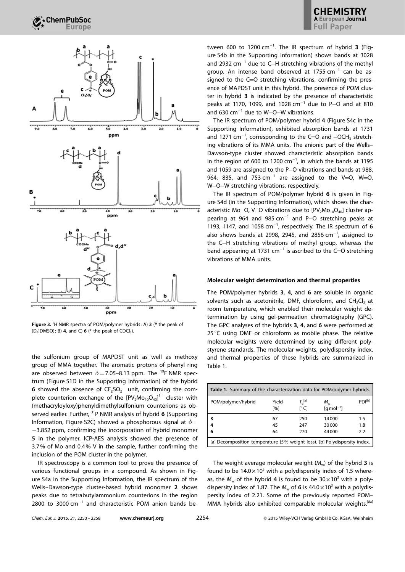

Figure 3. <sup>1</sup>H NMR spectra of POM/polymer hybrids: A) 3 (\* the peak of [ $D_6$ ]DMSO); B) 4, and C) 6 (\* the peak of CDCl<sub>3</sub>).

the sulfonium group of MAPDST unit as well as methoxy group of MMA together. The aromatic protons of phenyl ring are observed between  $\delta$  = 7.05–8.13 ppm. The <sup>19</sup>F NMR spectrum (Figure S1D in the Supporting Information) of the hybrid **6** showed the absence of  $CF_3SO_3^-$  unit, confirming the complete counterion exchange of the  $[PV_2Mo_{10}O_{40}]^{5-}$  cluster with (methacryloyloxy)phenyldimethylsulfonium counterions as observed earlier. Further,  $31P$  NMR analysis of hybrid 6 (Supporting Information, Figure S2C) showed a phosphorous signal at  $\delta$  = -3.852 ppm, confirming the incorporation of hybrid monomer 5 in the polymer. ICP-AES analysis showed the presence of 3.7% of Mo and 0.4% V in the sample, further confirming the inclusion of the POM cluster in the polymer.

IR spectroscopy is a common tool to prove the presence of various functional groups in a compound. As shown in Figure S4a in the Supporting Information, the IR spectrum of the Wells–Dawson-type cluster-based hybrid monomer 2 shows peaks due to tetrabutylammonium counterions in the region 2800 to 3000 cm<sup>-1</sup> and characteristic POM anion bands be-

tween 600 to  $1200 \text{ cm}^{-1}$ . The IR spectrum of hybrid 3 (Figure S4b in the Supporting Information) shows bands at 3028 and 2932  $cm^{-1}$  due to C-H stretching vibrations of the methyl group. An intense band observed at  $1755$  cm<sup>-1</sup> can be assigned to the C=O stretching vibrations, confirming the presence of MAPDST unit in this hybrid. The presence of POM cluster in hybrid 3 is indicated by the presence of characteristic peaks at 1170, 1099, and 1028  $cm^{-1}$  due to P-O and at 810 and  $630 \text{ cm}^{-1}$  due to W-O-W vibrations.

The IR spectrum of POM/polymer hybrid 4 (Figure S4c in the Supporting Information), exhibited absorption bands at 1731 and 1271  $cm^{-1}$ , corresponding to the C=O and  $-OCH<sub>3</sub>$  stretching vibrations of its MMA units. The anionic part of the Wells– Dawson-type cluster showed characteristic absorption bands in the region of 600 to 1200  $cm^{-1}$ , in which the bands at 1195 and 1059 are assigned to the P-O vibrations and bands at 988, 964, 835, and 753  $cm^{-1}$  are assigned to the V=O, W=O, W-O-W stretching vibrations, respectively.

The IR spectrum of POM/polymer hybrid 6 is given in Figure S4d (in the Supporting Information), which shows the characteristic Mo=O, V=O vibrations due to  $[PV<sub>2</sub>Mo<sub>10</sub>O<sub>40</sub>]$  cluster appearing at 964 and 985  $cm^{-1}$  and P-O stretching peaks at 1193, 1147, and 1058  $cm^{-1}$ , respectively. The IR spectrum of 6 also shows bands at 2998, 2945, and 2856  $cm^{-1}$ , assigned to the C-H stretching vibrations of methyl group, whereas the band appearing at 1731  $cm^{-1}$  is ascribed to the C=O stretching vibrations of MMA units.

## Molecular weight determination and thermal properties

The POM/polymer hybrids 3, 4, and 6 are soluble in organic solvents such as acetonitrile, DMF, chloroform, and  $CH_2Cl_2$  at room temperature, which enabled their molecular weight determination by using gel-permeation chromatography (GPC). The GPC analyses of the hybrids 3, 4, and 6 were performed at  $25^{\circ}$ C using DMF or chloroform as mobile phase. The relative molecular weights were determined by using different polystyrene standards. The molecular weights, polydispersity index, and thermal properties of these hybrids are summarized in Table 1.

| <b>Table 1.</b> Summary of the characterization data for POM/polymer hybrids. |              |                      |                                             |                    |  |  |
|-------------------------------------------------------------------------------|--------------|----------------------|---------------------------------------------|--------------------|--|--|
| POM/polymer/hybrid                                                            | Yield<br>[%] | $T_A^{[a]}$<br>r° C1 | $M_{\rm w}$<br>$\lceil q \bmod^{-1} \rceil$ | PDI <sup>[b]</sup> |  |  |
|                                                                               | 67           | 250                  | 14000                                       | 1.5                |  |  |
| 4                                                                             | 45           | 247                  | 30000                                       | 1.8                |  |  |
| 6                                                                             | 64           | 270                  | 44 000                                      | 2.2                |  |  |
| [a] Decomposition temperature (5% weight loss). [b] Polydispersity index.     |              |                      |                                             |                    |  |  |

The weight average molecular weight  $(M_w)$  of the hybrid 3 is found to be  $14.0 \times 10^3$  with a polydispersity index of 1.5 whereas, the  $M_w$  of the hybrid 4 is found to be  $30 \times 10^3$  with a polydispersity index of 1.87. The  $M_w$  of 6 is 44.0  $\times$  10<sup>3</sup> with a polydispersity index of 2.21. Some of the previously reported POM– MMA hybrids also exhibited comparable molecular weights.<sup>[8a]</sup>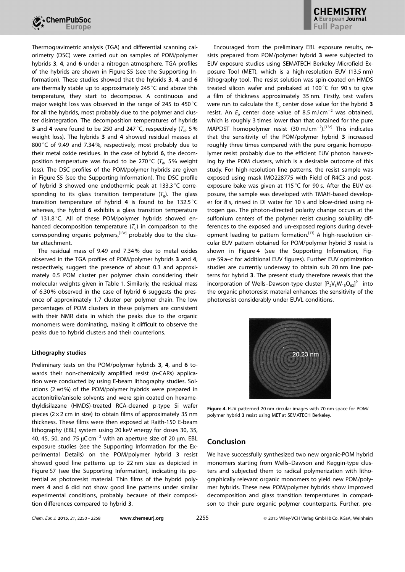

Thermogravimetric analysis (TGA) and differential scanning calorimetry (DSC) were carried out on samples of POM/polymer hybrids 3, 4, and 6 under a nitrogen atmosphere. TGA profiles of the hybrids are shown in Figure S5 (see the Supporting Information). These studies showed that the hybrids 3, 4, and 6 are thermally stable up to approximately 245 $\degree$ C and above this temperature, they start to decompose. A continuous and major weight loss was observed in the range of 245 to 450 $^{\circ}$ C for all the hybrids, most probably due to the polymer and cluster disintegration. The decomposition temperatures of hybrids **3** and 4 were found to be 250 and 247 $\degree$ C, respectively ( $T_{d}$ , 5%) weight loss). The hybrids 3 and 4 showed residual masses at 800 °C of 9.49 and 7.34%, respectively, most probably due to their metal oxide residues. In the case of hybrid 6, the decomposition temperature was found to be 270 $\degree$ C ( $T_{\text{d}}$ , 5% weight loss). The DSC profiles of the POM/polymer hybrids are given in Figure S5 (see the Supporting Information). The DSC profile of hybrid 3 showed one endothermic peak at 133.3  $\degree$ C corresponding to its glass transition temperature  $(T<sub>a</sub>)$ . The glass transition temperature of hybrid 4 is found to be 132.5 $\degree$ C whereas, the hybrid 6 exhibits a glass transition temperature of 131.8 $^{\circ}$ C. All of these POM/polymer hybrids showed enhanced decomposition temperature  $(T_d)$  in comparison to the corresponding organic polymers,<sup>[13c]</sup> probably due to the cluster attachment.

The residual mass of 9.49 and 7.34 % due to metal oxides observed in the TGA profiles of POM/polymer hybrids 3 and 4, respectively, suggest the presence of about 0.3 and approximately 0.5 POM cluster per polymer chain considering their molecular weights given in Table 1. Similarly, the residual mass of 6.30 % observed in the case of hybrid 6 suggests the presence of approximately 1.7 cluster per polymer chain. The low percentages of POM clusters in these polymers are consistent with their NMR data in which the peaks due to the organic monomers were dominating, making it difficult to observe the peaks due to hybrid clusters and their counterions.

# Lithography studies

Preliminary tests on the POM/polymer hybrids 3, 4, and 6 towards their non-chemically amplified resist (n-CARs) application were conducted by using E-beam lithography studies. Solutions (2 wt%) of the POM/polymer hybrids were prepared in acetonitrile/anisole solvents and were spin-coated on hexamethyldisilazane (HMDS)-treated RCA-cleaned p-type Si wafer pieces ( $2 \times 2$  cm in size) to obtain films of approximately 35 nm thickness. These films were then exposed at Raith-150 E-beam lithography (EBL) system using 20 keV energy for doses 30, 35, 40, 45, 50, and 75  $\mu$ C cm<sup>-2</sup> with an aperture size of 20  $\mu$ m. EBL exposure studies (see the Supporting Information for the Experimental Details) on the POM/polymer hybrid 3 resist showed good line patterns up to 22 nm size as depicted in Figure S7 (see the Supporting Information), indicating its potential as photoresist material. Thin films of the hybrid polymers 4 and 6 did not show good line patterns under similar experimental conditions, probably because of their composition differences compared to hybrid 3.

Encouraged from the preliminary EBL exposure results, resists prepared from POM/polymer hybrid 3 were subjected to EUV exposure studies using SEMATECH Berkeley Microfield Exposure Tool (MET), which is a high-resolution EUV (13.5 nm) lithography tool. The resist solution was spin-coated on HMDS treated silicon wafer and prebaked at 100 $\degree$ C for 90 s to give a film of thickness approximately 35 nm. Firstly, test wafers were run to calculate the  $E_0$  center dose value for the hybrid 3 resist. An  $E_0$  center dose value of 8.5 mJ cm<sup>-2</sup> was obtained, which is roughly 3 times lower than that obtained for the pure MAPDST homopolymer resist  $(30 \text{ mJ cm}^{-2})$ .<sup>[13c]</sup> This indicates that the sensitivity of the POM/polymer hybrid 3 increased roughly three times compared with the pure organic homopolymer resist probably due to the efficient EUV photon harvesting by the POM clusters, which is a desirable outcome of this study. For high-resolution line patterns, the resist sample was exposed using mask IMO228775 with Field of R4C3 and postexposure bake was given at 115 $\degree$ C for 90 s. After the EUV exposure, the sample was developed with TMAH-based developer for 8 s, rinsed in DI water for 10 s and blow-dried using nitrogen gas. The photon-directed polarity change occurs at the sulfonium centers of the polymer resist causing solubility differences to the exposed and un-exposed regions during development leading to pattern formation.<sup>[13]</sup> A high-resolution circular EUV pattern obtained for POM/polymer hybrid 3 resist is shown in Figure 4 (see the Supporting Information, Figure S9 a–c for additional EUV figures). Further EUV optimization studies are currently underway to obtain sub 20 nm line patterns for hybrid 3. The present study therefore reveals that the incorporation of Wells-Dawson-type cluster  $[P_2V_3W_{15}O_{62}]^{9-}$  into the organic photoresist material enhances the sensitivity of the photoresist considerably under EUVL conditions.



Figure 4. EUV patterned 20 nm circular images with 70 nm space for POM/ polymer hybrid 3 resist using MET at SEMATECH Berkeley.

# Conclusion

We have successfully synthesized two new organic-POM hybrid monomers starting from Wells–Dawson and Keggin-type clusters and subjected them to radical polymerization with lithographically relevant organic monomers to yield new POM/polymer hybrids. These new POM/polymer hybrids show improved decomposition and glass transition temperatures in comparison to their pure organic polymer counterparts. Further, pre-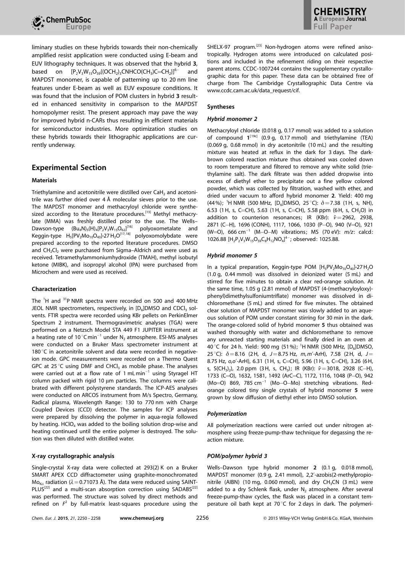

liminary studies on these hybrids towards their non-chemically amplified resist application were conducted using E-beam and EUV lithography techniques. It was observed that the hybrid 3, based on  $[P_2V_3W_{15}O_{59}({\rm OCH}_2)_3{\rm CNHCO}({\rm CH}_3){\rm C=CH}_2]$ <sup>6-</sup> and MAPDST monomer, is capable of patterning up to 20 nm line features under E-beam as well as EUV exposure conditions. It was found that the inclusion of POM clusters in hybrid 3 resulted in enhanced sensitivity in comparison to the MAPDST homopolymer resist. The present approach may pave the way for improved hybrid n-CARs thus resulting in efficient materials for semiconductor industries. More optimization studies on these hybrids towards their lithographic applications are currently underway.

# Experimental Section

# Materials

Triethylamine and acetonitrile were distilled over CaH<sub>2</sub> and acetonitrile was further dried over  $4 \text{ Å}$  molecular sieves prior to the use. The MAPDST monomer and methacryloyl chloride were synthesized according to the literature procedures.<sup>[13]</sup> Methyl methacrylate (MMA) was freshly distilled prior to the use. The Wells– Dawson-type  $(Bu_4N_5(H)_4[P_2V_3W_{15}O_{62}]^{116]}$  polyoxometalate and Keggin-type  $H_5[PV_2Mo_{10}O_{40}]$ -27 $H_2O^{[17, 18]}$  polyoxomolybdate were prepared according to the reported literature procedures. DMSO and  $CH<sub>2</sub>Cl<sub>2</sub>$  were purchased from Sigma–Aldrich and were used as received. Tetramethylammoniumhydroxide (TMAH), methyl isobutyl ketone (MIBK), and isopropyl alcohol (IPA) were purchased from Microchem and were used as received.

# Characterization

The <sup>1</sup>H and <sup>31</sup>P NMR spectra were recorded on 500 and 400 MHz JEOL NMR spectrometers, respectively, in  $[D_6]$ DMSO and CDCl<sub>3</sub> solvents. FTIR spectra were recorded using KBr pellets on PerkinElmer Spectrum 2 instrument. Thermogravimetric analyses (TGA) were performed on a Netzsch Model STA 449 F1 JUPITER instrument at a heating rate of 10 $^{\circ}$ Cmin $^{-1}$  under N<sub>2</sub> atmosphere. ESI-MS analyses were conducted on a Bruker Mass spectrometer instrument at 180 °C in acetonitrile solvent and data were recorded in negativeion mode. GPC measurements were recorded on a Thermo Quest GPC at 25 $\degree$ C using DMF and CHCl<sub>3</sub> as mobile phase. The analyses were carried out at a flow rate of 1 mLmin<sup>-1</sup> using Styragel HT column packed with rigid 10 µm particles. The columns were calibrated with different polystyrene standards. The ICP-AES analyses were conducted on ARCOS instrument from M/s Spectro, Germany, Radical plasma, Wavelength Range: 130 to 770 nm with Charge Coupled Devices (CCD) detector. The samples for ICP analyses were prepared by dissolving the polymer in aqua-regia followed by heating.  $HClO<sub>4</sub>$  was added to the boiling solution drop-wise and heating continued until the entire polymer is destroyed. The solution was then diluted with distilled water.

# X-ray crystallographic analysis

Single-crystal X-ray data were collected at 293(2) K on a Bruker SMART APEX CCD diffractometer using graphite-monochromated  $Mo_{K\alpha}$  radiation ( $\lambda$  = 0.71073 Å). The data were reduced using SAINT-PLUS<sup>[22]</sup> and a multi-scan absorption correction using SADABS<sup>[22]</sup> was performed. The structure was solved by direct methods and refined on  $F^2$  by full-matrix least-squares procedure using the SHELX-97 program.<sup>[23]</sup> Non-hydrogen atoms were refined anisotropically. Hydrogen atoms were introduced on calculated positions and included in the refinement riding on their respective parent atoms. CCDC-1007244 contains the supplementary crystallographic data for this paper. These data can be obtained free of charge from The Cambridge Crystallographic Data Centre via www.ccdc.cam.ac.uk/data\_request/cif.

# Syntheses

## Hybrid monomer 2

Methacryloyl chloride (0.018 g, 0.17 mmol) was added to a solution of compound  $1^{[19c]}$  (0.9 g, 0.17 mmol) and triethylamine (TEA) (0.069 g, 0.68 mmol) in dry acetonitrile (10 mL) and the resulting mixture was heated at reflux in the dark for 3 days. The darkbrown colored reaction mixture thus obtained was cooled down to room temperature and filtered to remove any white solid (triethylamine salt). The dark filtrate was then added dropwise into excess of diethyl ether to precipitate out a fine yellow colored powder, which was collected by filtration, washed with ether, and dried under vacuum to afford hybrid monomer 2. Yield: 400 mg (44%); <sup>1</sup>H NMR (500 MHz, [D<sub>6</sub>]DMSO, 25 °C):  $\delta$  = 7.38 (1H, s, NH), 6.53 (1H, s, C=CH), 5.63 (1H, s, C=CH), 5.58 ppm (6H, s, CH<sub>2</sub>O) in addition to counterion resonances; IR (KBr):  $\tilde{v}=2962$ , 2938, 2871 (C-H), 1696 (CONH), 1117, 1066, 1030 (P-O), 940 (V=O), 921  $(W=O)$ , 666 cm<sup>-1</sup> (M-O-M) vibrations; MS (70 eV):  $m/z$ : calcd: 1026.88  $[H_2P_2V_3W_{15}O_{59}C_8H_{12}NO_4]^{4-}$ ; observed: 1025.88.

## Hybrid monomer 5

In a typical preparation, Keggin-type POM  $[H_5PV_2Mo_{10}O_{40}]$ -27H<sub>2</sub>O (1.0 g, 0.44 mmol) was dissolved in deionized water (5 mL) and stirred for five minutes to obtain a clear red-orange solution. At the same time, 1.05 g (2.81 mmol) of MAPDST (4-(methacryloyloxy) phenyl)dimethylsulfoniumtriflate) monomer was dissolved in dichloromethane (5 mL) and stirred for five minutes. The obtained clear solution of MAPDST monomer was slowly added to an aqueous solution of POM under constant stirring for 30 min in the dark. The orange-colored solid of hybrid monomer 5 thus obtained was washed thoroughly with water and dichloromethane to remove any unreacted starting materials and finally dried in an oven at 40 °C for 24 h. Yield: 900 mg (51%); <sup>1</sup>H NMR (500 MHz, [D<sub>6</sub>]DMSO, 25 °C):  $\delta = 8.16$  (2H, d, J = 8.75 Hz, m, m'-ArH), 7.58 (2H, d, J = 8.75 Hz, o,o'-ArH), 6.31 (1H, s, C=CH), 5.96 (1H, s, C=CH), 3.26 (6H, s, S(CH<sub>3</sub>)<sub>2</sub>), 2.0 ppm (3H, s, CH<sub>3</sub>); IR (KBr):  $\tilde{\nu} = 3018$ , 2928 (C-H), 1733 (C=O), 1632, 1581, 1492 (ArC=C), 1172, 1116, 1048 (P-O), 942 (Mo=O) 869, 785 cm<sup>-1</sup> (Mo-O-Mo) stretching vibrations. Redorange colored tiny single crystals of hybrid monomer 5 were grown by slow diffusion of diethyl ether into DMSO solution.

#### Polymerization

All polymerization reactions were carried out under nitrogen atmosphere using freeze-pump-thaw technique for degassing the reaction mixture.

# POM/polymer hybrid 3

Wells–Dawson type hybrid monomer 2 (0.1 g, 0.018 mmol), MAPDST monomer (0.9 g, 2.41 mmol), 2,2'-azobis(2-methylpropionitrile (AIBN) (10 mg, 0.060 mmol), and dry  $CH<sub>3</sub>CN$  (3 mL) were added to a dry Schlenk flask, under  $N<sub>2</sub>$  atmosphere. After several freeze-pump-thaw cycles, the flask was placed in a constant temperature oil bath kept at 70 $\degree$ C for 2 days in dark. The polymeri-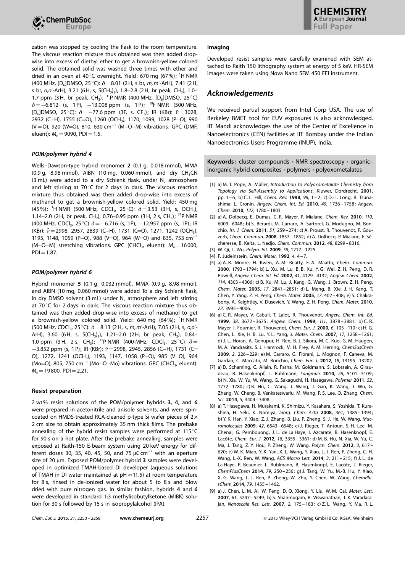

zation was stopped by cooling the flask to the room temperature. The viscous reaction mixture thus obtained was then added dropwise into excess of diethyl ether to get a brownish-yellow colored solid. The obtained solid was washed three times with ether and dried in an oven at 40 °C overnight. Yield: 670 mg (67%); <sup>1</sup>H NMR (400 MHz,  $[D_6]$ DMSO, 25 °C):  $\delta = 8.01$  (2H, s br, m, m'-ArH), 7.41 (2H, s br, o,o'-ArH), 3.21 (6H, s, S(CH<sub>3</sub>)<sub>2</sub>), 1.8–2.8 (2H, br peak, CH<sub>2</sub>), 1.0– 1.7 ppm (3H, br peak,  $CH_3$ ); <sup>31</sup>P NMR (400 MHz, [D<sub>6</sub>]DMSO, 25 °C)  $\delta$  = -6.812 (s, 1P), -13.008 ppm (s, 1P); <sup>19</sup>F NMR (500 MHz, [D<sub>6</sub>]DMSO, 25 °C):  $\delta = -77.6$  ppm (3F, s, CF<sub>3</sub>); IR (KBr):  $\tilde{v} = 3028$ , 2932 (C-H), 1755 (C=O), 1260 (OCH<sub>3</sub>), 1170, 1099, 1028 (P-O), 990  $(V=O)$ , 920 (W=O), 810, 630 cm<sup>-1</sup> (M-O-M) vibrations; GPC (DMF, eluent):  $M_{n}$  = 9090, PDI = 1.5.

# POM/polymer hybrid 4

Wells–Dawson-type hybrid monomer 2 (0.1 g, 0.018 mmol), MMA  $(0.9 \, \text{g}, \, 8.98 \, \text{mmol})$ , AIBN  $(10 \, \text{mg}, \, 0.060 \, \text{mmol})$ , and dry CH<sub>3</sub>CN (3 mL) were added to a dry Schlenk flask, under  $N_2$  atmosphere and left stirring at 70 $\degree$ C for 2 days in dark. The viscous reaction mixture thus obtained was then added drop-wise into excess of methanol to get a brownish-yellow colored solid. Yield: 450 mg (45%); <sup>1</sup>H NMR (500 MHz, CDCl<sub>3</sub>, 25 °C):  $\delta = 3.53$  (3H, s, OCH<sub>3</sub>), 1.14–2.0 (2H, br peak, CH<sub>2</sub>), 0.76–0.95 ppm (3H, 2 s, CH<sub>3</sub>); <sup>31</sup>P NMR (400 MHz, CDCl<sub>3</sub>, 25 °C)  $\delta = -6.716$  (s, 1P), -12.957 ppm (s, 1P); IR (KBr):  $\tilde{v} = 2998$ , 2957, 2839 (C-H), 1731 (C=O), 1271, 1242 (OCH<sub>3</sub>), 1195, 1148, 1059 (P-O), 988 (V=O), 964 (W=O) and 835, 753 cm<sup>-1</sup> (M-O-M) stretching vibrations. GPC (CHCl<sub>3</sub>, eluent):  $M_n$  = 16000,  $PDI = 1.87$ .

# POM/polymer hybrid 6

Hybrid monomer 5 (0.1 g, 0.032 mmol), MMA (0.9 g, 8.98 mmol), and AIBN (10 mg, 0.060 mmol) were added To a dry Schlenk flask, in dry DMSO solvent (3 mL) under  $N_2$  atmosphere and left stirring at 70 $\degree$ C for 2 days in dark. The viscous reaction mixture thus obtained was then added drop-wise into excess of methanol to get a brownish-yellow colored solid. Yield: 640 mg (64%); <sup>1</sup>H NMR (500 MHz, CDCl<sub>3</sub>, 25 °C):  $\delta$  = 8.13 (2H, s, m, m'-ArH), 7.05 (2H, s, o,o'-ArH), 3.60 (6H, s, S(CH<sub>3</sub>)<sub>2</sub>), 1.21-2.0 (2H, br peak, CH<sub>2</sub>), 0.84-1.0 ppm (3H, 2 s, CH<sub>3</sub>); <sup>31</sup>P NMR (400 MHz, CDCl<sub>3</sub>, 25 °C)  $\delta$  =  $-3.852$  ppm (s, 1P); IR (KBr):  $\tilde{\nu} = 2998$ , 2945, 2856 (C-H), 1731 (C= O), 1272, 1241 (OCH<sub>3</sub>), 1193, 1147, 1058 (P—O), 985 (V<del>—</del>O), 964 (Mo=O), 805, 750 cm<sup>-1</sup> (Mo-O-Mo) vibrations. GPC (CHCl<sub>3</sub>, eluent):  $M_n$  = 19800, PDI = 2.21.

#### Resist preparation

2 wt% resist solutions of the POM/polymer hybrids 3, 4, and 6 were prepared in acetonitrile and anisole solvents, and were spincoated on HMDS-treated RCA-cleaned p-type Si wafer pieces of  $2 \times$ 2 cm size to obtain approximately 35 nm thick films. The prebake annealing of the hybrid resist samples were performed at 115 $\degree$ C for 90 s on a hot plate. After the prebake annealing, samples were exposed at Raith-150 E-beam system using 20 keV energy for different doses 30, 35, 40, 45, 50, and 75  $\mu$ C $\rm cm^{-2}$  with an aperture size of 20 µm. Exposed POM/polymer hybrid 3 samples were developed in optimized TMAH-based DI developer (aqueous solutions of TMAH in DI water maintained at  $pH \approx 11.5$ ) at room temperature for 8 s, rinsed in de-ionized water for about 5 to 8 s and blow dried with pure nitrogen gas. In similar fashion, hybrids 4 and 6 were developed in standard 1:3 methylisobutylketone (MIBK) solution for 30 s followed by 15 s in isopropylalcohol (IPA).

#### Imaging

Developed resist samples were carefully examined with SEM attached to Raith 150 lithography system at energy of 5 keV. HR-SEM images were taken using Nova Nano SEM 450 FEI instrument.

# Acknowledgements

We received partial support from Intel Corp USA. The use of Berkeley BMET tool for EUV exposures is also acknowledged. IIT Mandi acknowledges the use of the Center of Excellence in Nanoelectronics (CEN) facilities at IIT Bombay under the Indian Nanoelectronics Users Programme (INUP), India.

Keywords: cluster compounds · NMR spectroscopy · organic– inorganic hybrid composites · polymers · polyoxometalates

- [1] a) M. T. Pope, A. Müller, Introduction to Polyoxometalate Chemistry from Topology via Self-Assembly to Applications, Kluwer, Dordrecht, 2001, pp. 1 – 6; b) C. L. Hill, [Chem. Rev.](http://dx.doi.org/10.1021/cr960395y) 1998, 98, 1 – 2; c) D.-L. Long, R. Tsunashima, L. Cronin, [Angew. Chem. Int. Ed.](http://dx.doi.org/10.1002/anie.200902483) 2010, 49, 1736 – 1758; [Angew.](http://dx.doi.org/10.1002/ange.200902483) Chem. 2010, 122, 1780-1803.
- [2] a) A. Dolbecq, E. Dumas, C. R. Mayer, P. Mialane, [Chem. Rev.](http://dx.doi.org/10.1021/cr1000578) 2010, 110, [6009 – 6048](http://dx.doi.org/10.1021/cr1000578); b) S. Berardi, M. Carraro, A. Sartorel, G. Modugno, M. Bonchio, [Isr. J. Chem.](http://dx.doi.org/10.1002/ijch.201100018) 2011, 51, 259 – 274; c) A. Proust, R. Thouvenot, P. Gou-zerh, [Chem. Commun.](http://dx.doi.org/10.1039/b715502f) 2008, 1837 - 1852; d) A. Dolbecq, P. Mialane, F. Sécheresse, B. Keita, L. Nadjo, [Chem. Commun.](http://dx.doi.org/10.1039/c2cc31667f) 2012, 48, 8299 – 8316.
- [3] W. Qi, L. Wu, [Polym. Int.](http://dx.doi.org/10.1002/pi.2654) 2009, 58, 1217-1225.
- [4] P. Judeinstein, [Chem. Mater.](http://dx.doi.org/10.1021/cm00019a002) 1992, 4, 4-7.
- [5] a) A. R. Moore, H. Kwen, A. M. Beatty, E. A. Maatta, [Chem. Commun.](http://dx.doi.org/10.1039/b005022i) 2000[, 1793 – 1794](http://dx.doi.org/10.1039/b005022i); b) L. Xu, M. Lu, B. B. Xu, Y. G. Wei, Z. H. Peng, D. R. Powell, [Angew. Chem. Int. Ed.](http://dx.doi.org/10.1002/1521-3773(20021104)41:21%3C4129::AID-ANIE4129%3E3.0.CO;2-R) 2002, 41, 4129 – 4132; [Angew. Chem.](http://dx.doi.org/10.1002/1521-3757(20021104)114:21%3C4303::AID-ANGE4303%3E3.0.CO;2-Y) 2002, 114[, 4303 – 4306](http://dx.doi.org/10.1002/1521-3757(20021104)114:21%3C4303::AID-ANGE4303%3E3.0.CO;2-Y); c) B. Xu, M. Lu, J. Kang, G. Wang, J. Brown, Z. H. Peng, [Chem. Mater.](http://dx.doi.org/10.1021/cm050188r) 2005, 17, 2841 – 2851; d) L. Meng, B. Xie, J. H. Kang, T. Chen, Y. Yang, Z. H. Peng, Chem. Mater. 2005, 17, 402 – 408; e) S. Chakraborty, A. Keightley, V. Dusevich, Y. Wang, Z. H. Peng, [Chem. Mater.](http://dx.doi.org/10.1021/cm1007075) 2010, 22[, 3995 – 4006.](http://dx.doi.org/10.1021/cm1007075)
- [6] a) C. R. Mayer, V. Cabuil, T. Lalot, R. Thouvenot, [Angew. Chem. Int. Ed.](http://dx.doi.org/10.1002/(SICI)1521-3773(19991216)38:24%3C3672::AID-ANIE3672%3E3.0.CO;2-%23) 1999, 38[, 3672 – 3675](http://dx.doi.org/10.1002/(SICI)1521-3773(19991216)38:24%3C3672::AID-ANIE3672%3E3.0.CO;2-%23); [Angew. Chem.](http://dx.doi.org/10.1002/(SICI)1521-3757(19991216)111:24%3C3878::AID-ANGE3878%3E3.0.CO;2-D) 1999, 111, 3878 – 3881; b) C. R. Mayer, I. Fournier, R. Thouvenot, [Chem. Eur. J.](http://dx.doi.org/10.1002/(SICI)1521-3765(20000103)6:1%3C105::AID-CHEM105%3E3.0.CO;2-L) 2000, 6, 105 – 110; c) H. G. Chen, L. Xie, H. B. Lu, Y. L. Yang, [J. Mater. Chem.](http://dx.doi.org/10.1039/b618910e) 2007, 17, 1258 – 1261; d) J. L. Horan, A. Genupur, H. Ren, B. J. Sikora, M. C. Kuo, G. M. Haugen, M. A. Yandrasits, S. J. Hamrock, M. H. Frey, A. M. Herring, [ChemSusChem](http://dx.doi.org/10.1002/cssc.200800237) 2009, 2[, 226 – 229](http://dx.doi.org/10.1002/cssc.200800237); e) M. Carraro, G. Fiorani, L. Mognon, F. Caneva, M. Gardan, C. Maccato, M. Bonchio, [Chem. Eur. J.](http://dx.doi.org/10.1002/chem.201201849) 2012, 18[, 13195 – 13202.](http://dx.doi.org/10.1002/chem.201201849)
- [7] a) D. Schaming, C. Allain, R. Farha, M. Goldmann, S. Lobstein, A. Giraudeau, B. Hasenknopf, L. Ruhlmann, [Langmuir](http://dx.doi.org/10.1021/la903564d) 2010, 26[, 5101 – 5109](http://dx.doi.org/10.1021/la903564d); b) N. Xia, W. Yu, W. Wang, G. Sakaguchi, H. Hasegawa, [Polymer](http://dx.doi.org/10.1016/j.polymer.2011.02.018) 2011, 52, [1772 – 1780](http://dx.doi.org/10.1016/j.polymer.2011.02.018); c) B. Hu, C. Wang, J. Wang, J. Gao, K. Wang, J. Wu, G. Zhang, W. Cheng, B. Venkateswarlu, M. Wang, P. S. Lee, Q. Zhang, [Chem.](http://dx.doi.org/10.1039/C4SC00823E) Sci. 2014, 5[, 3404 – 3408](http://dx.doi.org/10.1039/C4SC00823E).
- [8] a) T. Hasegawa, H. Murakami, K. Shimizu, Y. Kasahara, S. Yoshida, T. Kurashina, H. Seki, K. Nomiya, [Inorg. Chim. Acta](http://dx.doi.org/10.1016/j.ica.2007.09.002) 2008, 361, 1385 – 1394; b) Y. K. Han, Y. Xiao, Z. J. Zhang, B. Liu, P. Zheng, S. J. He, W. Wang, [Mac](http://dx.doi.org/10.1021/ma9011686)[romolecules](http://dx.doi.org/10.1021/ma9011686) 2009, 42[, 6543 – 6548](http://dx.doi.org/10.1021/ma9011686); c) J. Rieger, T. Antoun, S. H. Lee, M. Chenal, G. Pembouong, J. L. de La Haye, I. Azcarate, B. Hasenknopf, E. Lacôte, [Chem. Eur. J.](http://dx.doi.org/10.1002/chem.201101771) 2012, 18[, 3355 – 3361](http://dx.doi.org/10.1002/chem.201101771); d) M. B. Hu, N. Xia, W. Yu, C. Ma, J. Tang, Z. Y. Hou, P. Zheng, W. Wang, [Polym. Chem.](http://dx.doi.org/10.1039/c2py00546h) 2012, 3, 617 – [620](http://dx.doi.org/10.1039/c2py00546h); e) W.-K. Miao, Y.-K. Yan, X.-L. Wang, Y. Xiao, L.-J. Ren, P. Zheng, C.-H. Wang, L.-X. Ren, W. Wang, [ACS Macro Lett.](http://dx.doi.org/10.1021/mz5000202) 2014, 3, 211 – 215; f) J. L. de La Haye, P. Beaunier, L. Ruhlmann, B. Hasenknopf, E. Lacôte, J. Rieger, ChemPlusChem 2014, 79, 250 – 256; g) J. Tang, W. Yu, M.-B. Hu, Y. Xiao, X.-G. Wang, L.-J. Ren, P. Zheng, W. Zhu, Y. Chen, W. Wang, [ChemPlu](http://dx.doi.org/10.1002/cplu.201402092)[sChem](http://dx.doi.org/10.1002/cplu.201402092) 2014, 79[, 1455 – 1462](http://dx.doi.org/10.1002/cplu.201402092).
- [9] a) J. Chen, L. M. Ai, W. Feng, D. Q. Xiong, Y. Liu, W. M. Cai, [Mater. Lett.](http://dx.doi.org/10.1016/j.matlet.2007.04.040) 2007, 61[, 5247 – 5249](http://dx.doi.org/10.1016/j.matlet.2007.04.040); b) S. Shanmugam, B. Viswanathan, T. K. Varadara-jan, [Nanoscale Res. Lett.](http://dx.doi.org/10.1007/s11671-007-9050-z) 2007, 2, 175-183; c) Z. L. Wang, Y. Ma, R. L.

Chem. Eur. J. 2015, 21, 2250 – 2258 [www.chemeurj.org](http://www.chemeurj.org) 2257 -